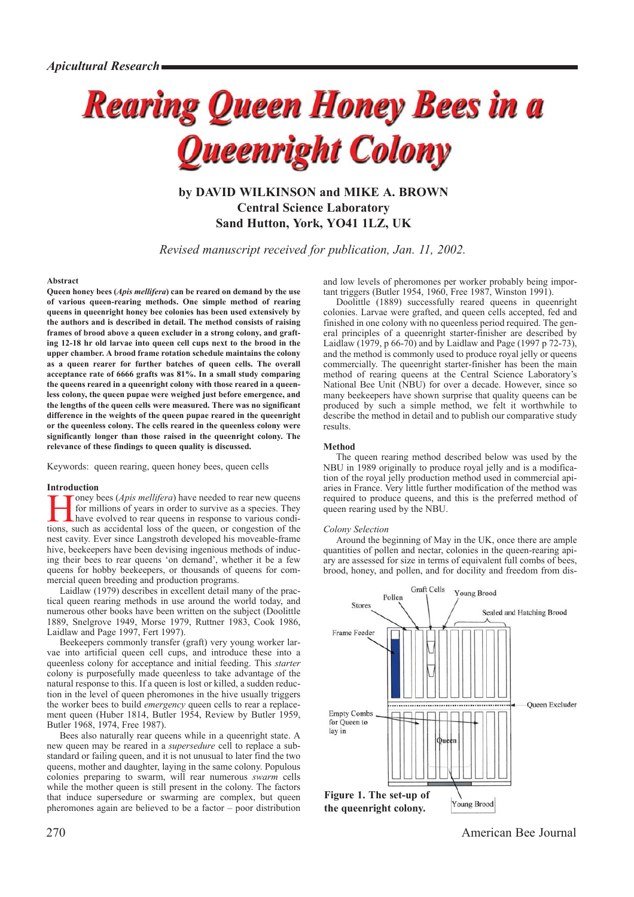# **Rearing Queen Honey Bees in a Queenright Colony**

**by DAVID WILKINSON and MIKE A. BROWN Central Science Laboratory Sand Hutton, York, YO41 1LZ, UK**

*Revised manuscript received for publication, Jan. 11, 2002.*

### **Abstract**

**Queen honey bees (***Apis mellifera***) can be reared on demand by the use of various queen-rearing methods. One simple method of rearing queens in queenright honey bee colonies has been used extensively by the authors and is described in detail. The method consists of raising frames of brood above a queen excluder in a strong colony, and grafting 12-18 hr old larvae into queen cell cups next to the brood in the upper chamber. A brood frame rotation schedule maintains the colony as a queen rearer for further batches of queen cells. The overall acceptance rate of 6666 grafts was 81%. In a small study comparing the queens reared in a queenright colony with those reared in a queenless colony, the queen pupae were weighed just before emergence, and the lengths of the queen cells were measured. There was no significant difference in the weights of the queen pupae reared in the queenright or the queenless colony. The cells reared in the queenless colony were significantly longer than those raised in the queenright colony. The relevance of these findings to queen quality is discussed.**

Keywords: queen rearing, queen honey bees, queen cells

#### **Introduction**

The yoney bees (*Apis mellifera*) have needed to rear new queens<br>for millions of years in order to survive as a species. They<br>have evolved to rear queens in response to various condi-<br>tions, such as accidental loss of the for millions of years in order to survive as a species. They tions, such as accidental loss of the queen, or congestion of the nest cavity. Ever since Langstroth developed his moveable-frame hive, beekeepers have been devising ingenious methods of inducing their bees to rear queens 'on demand', whether it be a few queens for hobby beekeepers, or thousands of queens for commercial queen breeding and production programs.

Laidlaw (1979) describes in excellent detail many of the practical queen rearing methods in use around the world today, and numerous other books have been written on the subject (Doolittle 1889, Snelgrove 1949, Morse 1979, Ruttner 1983, Cook 1986, Laidlaw and Page 1997, Fert 1997).

Beekeepers commonly transfer (graft) very young worker larvae into artificial queen cell cups, and introduce these into a queenless colony for acceptance and initial feeding. This *starter* colony is purposefully made queenless to take advantage of the natural response to this. If a queen is lost or killed, a sudden reduction in the level of queen pheromones in the hive usually triggers the worker bees to build *emergency* queen cells to rear a replacement queen (Huber 1814, Butler 1954, Review by Butler 1959, Butler 1968, 1974, Free 1987).

Bees also naturally rear queens while in a queenright state. A new queen may be reared in a *supersedure* cell to replace a substandard or failing queen, and it is not unusual to later find the two queens, mother and daughter, laying in the same colony. Populous colonies preparing to swarm, will rear numerous *swarm* cells while the mother queen is still present in the colony. The factors that induce supersedure or swarming are complex, but queen pheromones again are believed to be a factor  $-\overline{p}$  poor distribution and low levels of pheromones per worker probably being important triggers (Butler 1954, 1960, Free 1987, Winston 1991).

Doolittle (1889) successfully reared queens in queenright colonies. Larvae were grafted, and queen cells accepted, fed and finished in one colony with no queenless period required. The general principles of a queenright starter-finisher are described by Laidlaw (1979, p 66-70) and by Laidlaw and Page (1997 p 72-73), and the method is commonly used to produce royal jelly or queens commercially. The queenright starter-finisher has been the main method of rearing queens at the Central Science Laboratory's National Bee Unit (NBU) for over a decade. However, since so many beekeepers have shown surprise that quality queens can be produced by such a simple method, we felt it worthwhile to describe the method in detail and to publish our comparative study results.

#### **Method**

The queen rearing method described below was used by the NBU in 1989 originally to produce royal jelly and is a modification of the royal jelly production method used in commercial apiaries in France. Very little further modification of the method was required to produce queens, and this is the preferred method of queen rearing used by the NBU.

#### *Colony Selection*

Around the beginning of May in the UK, once there are ample quantities of pollen and nectar, colonies in the queen-rearing apiary are assessed for size in terms of equivalent full combs of bees, brood, honey, and pollen, and for docility and freedom from dis-



270 American Bee Journal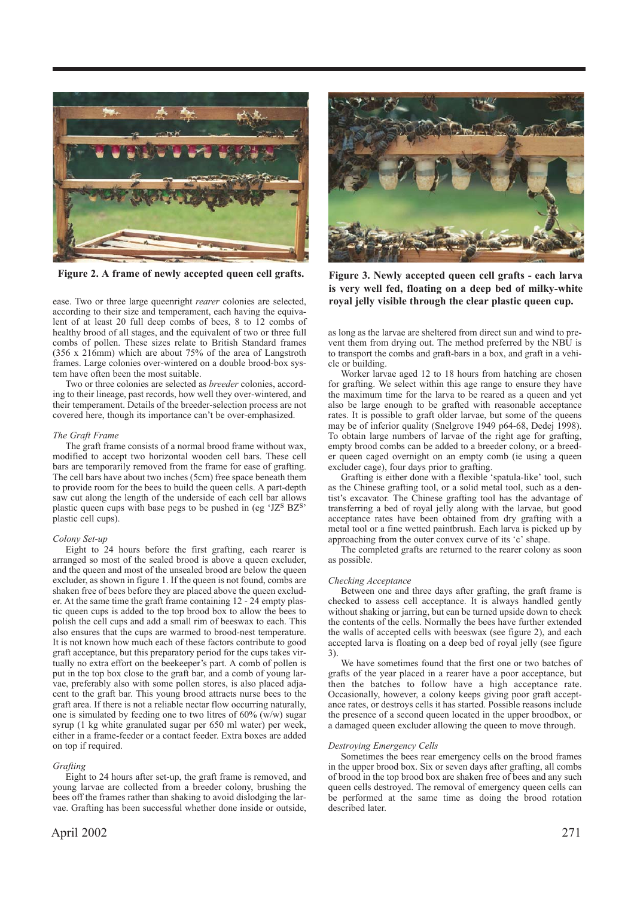

**Figure 2. A frame of newly accepted queen cell grafts. Figure 3. Newly accepted queen cell grafts - each larva**

ease. Two or three large queenright *rearer* colonies are selected, according to their size and temperament, each having the equivalent of at least 20 full deep combs of bees, 8 to 12 combs of healthy brood of all stages, and the equivalent of two or three full combs of pollen. These sizes relate to British Standard frames (356 x 216mm) which are about 75% of the area of Langstroth frames. Large colonies over-wintered on a double brood-box system have often been the most suitable.

Two or three colonies are selected as *breeder* colonies, according to their lineage, past records, how well they over-wintered, and their temperament. Details of the breeder-selection process are not covered here, though its importance can't be over-emphasized.

# *The Graft Frame*

The graft frame consists of a normal brood frame without wax, modified to accept two horizontal wooden cell bars. These cell bars are temporarily removed from the frame for ease of grafting. The cell bars have about two inches (5cm) free space beneath them to provide room for the bees to build the queen cells. A part-depth saw cut along the length of the underside of each cell bar allows plastic queen cups with base pegs to be pushed in (eg  $'JZ^S$  BZ<sup>S</sup>' plastic cell cups).

#### *Colony Set-up*

Eight to 24 hours before the first grafting, each rearer is arranged so most of the sealed brood is above a queen excluder, and the queen and most of the unsealed brood are below the queen excluder, as shown in figure 1. If the queen is not found, combs are shaken free of bees before they are placed above the queen excluder. At the same time the graft frame containing  $12 - 24$  empty plastic queen cups is added to the top brood box to allow the bees to polish the cell cups and add a small rim of beeswax to each. This also ensures that the cups are warmed to brood-nest temperature. It is not known how much each of these factors contribute to good graft acceptance, but this preparatory period for the cups takes virtually no extra effort on the beekeeper's part. A comb of pollen is put in the top box close to the graft bar, and a comb of young larvae, preferably also with some pollen stores, is also placed adjacent to the graft bar. This young brood attracts nurse bees to the graft area. If there is not a reliable nectar flow occurring naturally, one is simulated by feeding one to two litres of  $60\%$  (w/w) sugar syrup (1 kg white granulated sugar per 650 ml water) per week, either in a frame-feeder or a contact feeder. Extra boxes are added on top if required.

# *Grafting*

Eight to 24 hours after set-up, the graft frame is removed, and young larvae are collected from a breeder colony, brushing the bees off the frames rather than shaking to avoid dislodging the larvae. Grafting has been successful whether done inside or outside,



**is very well fed, floating on a deep bed of milky-white royal jelly visible through the clear plastic queen cup.**

as long as the larvae are sheltered from direct sun and wind to prevent them from drying out. The method preferred by the NBU is to transport the combs and graft-bars in a box, and graft in a vehicle or building.

Worker larvae aged 12 to 18 hours from hatching are chosen for grafting. We select within this age range to ensure they have the maximum time for the larva to be reared as a queen and yet also be large enough to be grafted with reasonable acceptance rates. It is possible to graft older larvae, but some of the queens may be of inferior quality (Snelgrove 1949 p64-68, Dedej 1998). To obtain large numbers of larvae of the right age for grafting, empty brood combs can be added to a breeder colony, or a breeder queen caged overnight on an empty comb (ie using a queen excluder cage), four days prior to grafting.

Grafting is either done with a flexible 'spatula-like' tool, such as the Chinese grafting tool, or a solid metal tool, such as a dentist's excavator. The Chinese grafting tool has the advantage of transferring a bed of royal jelly along with the larvae, but good acceptance rates have been obtained from dry grafting with a metal tool or a fine wetted paintbrush. Each larva is picked up by approaching from the outer convex curve of its 'c' shape.

The completed grafts are returned to the rearer colony as soon as possible.

# *Checking Acceptance*

Between one and three days after grafting, the graft frame is checked to assess cell acceptance. It is always handled gently without shaking or jarring, but can be turned upside down to check the contents of the cells. Normally the bees have further extended the walls of accepted cells with beeswax (see figure 2), and each accepted larva is floating on a deep bed of royal jelly (see figure 3).

We have sometimes found that the first one or two batches of grafts of the year placed in a rearer have a poor acceptance, but then the batches to follow have a high acceptance rate. Occasionally, however, a colony keeps giving poor graft acceptance rates, or destroys cells it has started. Possible reasons include the presence of a second queen located in the upper broodbox, or a damaged queen excluder allowing the queen to move through.

#### *Destroying Emergency Cells*

Sometimes the bees rear emergency cells on the brood frames in the upper brood box. Six or seven days after grafting, all combs of brood in the top brood box are shaken free of bees and any such queen cells destroyed. The removal of emergency queen cells can be performed at the same time as doing the brood rotation described later.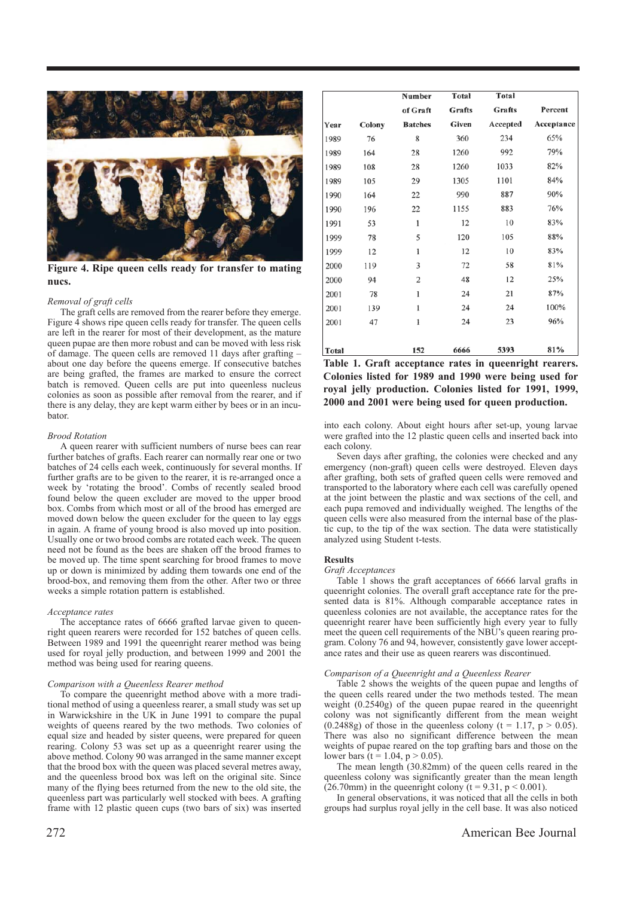

**Figure 4. Ripe queen cells ready for transfer to mating nucs.**

#### *Removal of graft cells*

The graft cells are removed from the rearer before they emerge. Figure 4 shows ripe queen cells ready for transfer. The queen cells are left in the rearer for most of their development, as the mature queen pupae are then more robust and can be moved with less risk of damage. The queen cells are removed 11 days after grafting – about one day before the queens emerge. If consecutive batches are being grafted, the frames are marked to ensure the correct batch is removed. Queen cells are put into queenless nucleus colonies as soon as possible after removal from the rearer, and if there is any delay, they are kept warm either by bees or in an incubator.

### *Brood Rotation*

A queen rearer with sufficient numbers of nurse bees can rear further batches of grafts. Each rearer can normally rear one or two batches of 24 cells each week, continuously for several months. If further grafts are to be given to the rearer, it is re-arranged once a week by 'rotating the brood'. Combs of recently sealed brood found below the queen excluder are moved to the upper brood box. Combs from which most or all of the brood has emerged are moved down below the queen excluder for the queen to lay eggs in again. A frame of young brood is also moved up into position. Usually one or two brood combs are rotated each week. The queen need not be found as the bees are shaken off the brood frames to be moved up. The time spent searching for brood frames to move up or down is minimized by adding them towards one end of the brood-box, and removing them from the other. After two or three weeks a simple rotation pattern is established.

# *Acceptance rates*

The acceptance rates of 6666 grafted larvae given to queenright queen rearers were recorded for 152 batches of queen cells. Between 1989 and 1991 the queenright rearer method was being used for royal jelly production, and between 1999 and 2001 the method was being used for rearing queens.

### *Comparison with a Queenless Rearer method*

To compare the queenright method above with a more traditional method of using a queenless rearer, a small study was set up in Warwickshire in the  $\overline{U}K$  in June 1991 to compare the pupal weights of queens reared by the two methods. Two colonies of equal size and headed by sister queens, were prepared for queen rearing. Colony 53 was set up as a queenright rearer using the above method. Colony 90 was arranged in the same manner except that the brood box with the queen was placed several metres away, and the queenless brood box was left on the original site. Since many of the flying bees returned from the new to the old site, the queenless part was particularly well stocked with bees. A grafting frame with 12 plastic queen cups (two bars of six) was inserted

|       |        | Number         | Total  | Total    |            |
|-------|--------|----------------|--------|----------|------------|
|       |        | of Graft       | Grafts | Grafts   | Percent    |
| Year  | Colony | <b>Batches</b> | Given  | Accepted | Acceptance |
| 1989  | 76     | 8              | 360    | 234      | 65%        |
| 1989  | 164    | 28             | 1260   | 992      | 79%        |
| 1989  | 108    | 28             | 1260   | 1033     | 82%        |
| 1989  | 105    | 29             | 1305   | 1101     | 84%        |
| 1990  | 164    | 22             | 990    | 887      | 90%        |
| 1990  | 196    | 22             | 1155   | 883      | 76%        |
| 1991  | 53     | 1              | 12     | 10       | 83%        |
| 1999  | 78     | 5              | 120    | 105      | 88%        |
| 1999  | 12     | 1              | 12     | 10       | 83%        |
| 2000  | 119    | 3              | 72     | 58       | 81%        |
| 2000  | 94     | 2              | 48     | 12       | 25%        |
| 2001  | 78     | 1              | 24     | 21       | 87%        |
| 2001  | 139    | 1              | 24     | 24       | 100%       |
| 2001  | 47     | 1              | 24     | 23       | 96%        |
|       |        |                |        |          |            |
| Total |        | 152            | 6666   | 5393     | 81%        |

**Table 1. Graft acceptance rates in queenright rearers. Colonies listed for 1989 and 1990 were being used for royal jelly production. Colonies listed for 1991, 1999, 2000 and 2001 were being used for queen production.**

into each colony. About eight hours after set-up, young larvae were grafted into the 12 plastic queen cells and inserted back into each colony.

Seven days after grafting, the colonies were checked and any emergency (non-graft) queen cells were destroyed. Eleven days after grafting, both sets of grafted queen cells were removed and transported to the laboratory where each cell was carefully opened at the joint between the plastic and wax sections of the cell, and each pupa removed and individually weighed. The lengths of the queen cells were also measured from the internal base of the plastic cup, to the tip of the wax section. The data were statistically analyzed using Student t-tests.

## **Results**

#### *Graft Acceptances*

Table 1 shows the graft acceptances of 6666 larval grafts in queenright colonies. The overall graft acceptance rate for the presented data is 81%. Although comparable acceptance rates in queenless colonies are not available, the acceptance rates for the queenright rearer have been sufficiently high every year to fully meet the queen cell requirements of the NBU's queen rearing program. Colony 76 and 94, however, consistently gave lower acceptance rates and their use as queen rearers was discontinued.

#### *Comparison of a Queenright and a Queenless Rearer*

Table 2 shows the weights of the queen pupae and lengths of the queen cells reared under the two methods tested. The mean weight (0.2540g) of the queen pupae reared in the queenright colony was not significantly different from the mean weight  $(0.2488g)$  of those in the queenless colony  $(t = 1.17, p > 0.05)$ . There was also no significant difference between the mean weights of pupae reared on the top grafting bars and those on the lower bars  $(t = 1.04, p > 0.05)$ .

The mean length (30.82mm) of the queen cells reared in the queenless colony was significantly greater than the mean length  $(26.70 \text{mm})$  in the queenright colony (t = 9.31, p < 0.001).

In general observations, it was noticed that all the cells in both groups had surplus royal jelly in the cell base. It was also noticed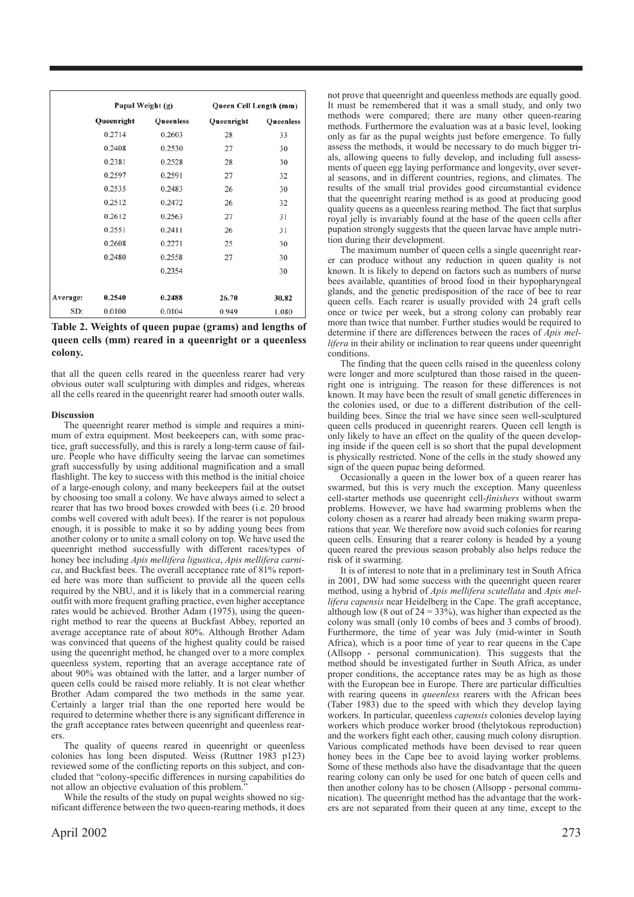|          | Pupal Weight (g) |           | Queen Cell Length (mm) |           |
|----------|------------------|-----------|------------------------|-----------|
|          | Queenright       | Queenless | Queenright             | Queenless |
|          | 0.2714           | 0.2603    | 28                     | 33        |
|          | 0.2408           | 0.2530    | 27                     | 30        |
|          | 0.2381           | 0.2528    | 28                     | 30        |
|          | 0.2597           | 0.2591    | 27                     | 32        |
|          | 0.2535           | 0.2483    | 26                     | 30        |
|          | 0.2512           | 0.2472    | 26                     | 32        |
|          | 0.2612           | 0.2563    | 27                     | 31        |
|          | 0.2551           | 0.2411    | 26                     | 31        |
|          | 0.2608           | 0.2271    | 25                     | 30        |
|          | 0.2480           | 0.2558    | 27                     | 30        |
|          |                  | 0.2354    |                        | 30        |
|          |                  |           |                        |           |
| Average: | 0.2540           | 0.2488    | 26.70                  | 30.82     |
| SD:      | 0.0100           | 0.0104    | 0.949                  | 1.080     |

**Table 2. Weights of queen pupae (grams) and lengths of queen cells (mm) reared in a queenright or a queenless colony.**

that all the queen cells reared in the queenless rearer had very obvious outer wall sculpturing with dimples and ridges, whereas all the cells reared in the queenright rearer had smooth outer walls.

# **Discussion**

The queenright rearer method is simple and requires a minimum of extra equipment. Most beekeepers can, with some practice, graft successfully, and this is rarely a long-term cause of failure. People who have difficulty seeing the larvae can sometimes graft successfully by using additional magnification and a small flashlight. The key to success with this method is the initial choice of a large-enough colony, and many beekeepers fail at the outset by choosing too small a colony. We have always aimed to select a rearer that has two brood boxes crowded with bees (i.e. 20 brood combs well covered with adult bees). If the rearer is not populous enough, it is possible to make it so by adding young bees from another colony or to unite a small colony on top. We have used the queenright method successfully with different races/types of honey bee including *Apis mellifera ligustica*, *Apis mellifera carnica*, and Buckfast bees. The overall acceptance rate of 81% reported here was more than sufficient to provide all the queen cells required by the NBU, and it is likely that in a commercial rearing outfit with more frequent grafting practice, even higher acceptance rates would be achieved. Brother Adam (1975), using the queenright method to rear the queens at Buckfast Abbey, reported an average acceptance rate of about 80%. Although Brother Adam was convinced that queens of the highest quality could be raised using the queenright method, he changed over to a more complex queenless system, reporting that an average acceptance rate of about 90% was obtained with the latter, and a larger number of queen cells could be raised more reliably. It is not clear whether Brother Adam compared the two methods in the same year. Certainly a larger trial than the one reported here would be required to determine whether there is any significant difference in the graft acceptance rates between queenright and queenless rearers.

The quality of queens reared in queenright or queenless colonies has long been disputed. Weiss (Ruttner 1983 p123) reviewed some of the conflicting reports on this subject, and concluded that "colony-specific differences in nursing capabilities do not allow an objective evaluation of this problem."

While the results of the study on pupal weights showed no significant difference between the two queen-rearing methods, it does not prove that queenright and queenless methods are equally good. It must be remembered that it was a small study, and only two methods were compared; there are many other queen-rearing methods. Furthermore the evaluation was at a basic level, looking only as far as the pupal weights just before emergence. To fully assess the methods, it would be necessary to do much bigger trials, allowing queens to fully develop, and including full assessments of queen egg laying performance and longevity, over several seasons, and in different countries, regions, and climates. The results of the small trial provides good circumstantial evidence that the queenright rearing method is as good at producing good quality queens as a queenless rearing method. The fact that surplus royal jelly is invariably found at the base of the queen cells after pupation strongly suggests that the queen larvae have ample nutrition during their development.

The maximum number of queen cells a single queenright rearer can produce without any reduction in queen quality is not known. It is likely to depend on factors such as numbers of nurse bees available, quantities of brood food in their hypopharyngeal glands, and the genetic predisposition of the race of bee to rear queen cells. Each rearer is usually provided with 24 graft cells once or twice per week, but a strong colony can probably rear more than twice that number. Further studies would be required to determine if there are differences between the races of *Apis mellifera* in their ability or inclination to rear queens under queenright conditions.

The finding that the queen cells raised in the queenless colony were longer and more sculptured than those raised in the queenright one is intriguing. The reason for these differences is not known. It may have been the result of small genetic differences in the colonies used, or due to a different distribution of the cellbuilding bees. Since the trial we have since seen well-sculptured queen cells produced in queenright rearers. Queen cell length is only likely to have an effect on the quality of the queen developing inside if the queen cell is so short that the pupal development is physically restricted. None of the cells in the study showed any sign of the queen pupae being deformed.

Occasionally a queen in the lower box of a queen rearer has swarmed, but this is very much the exception. Many queenless cell-starter methods use queenright cell-*finishers* without swarm problems. However, we have had swarming problems when the colony chosen as a rearer had already been making swarm preparations that year. We therefore now avoid such colonies for rearing queen cells. Ensuring that a rearer colony is headed by a young queen reared the previous season probably also helps reduce the risk of it swarming.

It is of interest to note that in a preliminary test in South Africa in 2001, DW had some success with the queenright queen rearer method, using a hybrid of *Apis mellifera scutellata* and *Apis mellifera capensis* near Heidelberg in the Cape. The graft acceptance, although low (8 out of  $24 = 33\%$ ), was higher than expected as the colony was small (only 10 combs of bees and 3 combs of brood). Furthermore, the time of year was July (mid-winter in South Africa), which is a poor time of year to rear queens in the Cape (Allsopp - personal communication). This suggests that the method should be investigated further in South Africa, as under proper conditions, the acceptance rates may be as high as those with the European bee in Europe. There are particular difficulties with rearing queens in *queenless* rearers with the African bees (Taber 1983) due to the speed with which they develop laying workers. In particular, queenless *capensis* colonies develop laying workers which produce worker brood (thelytokous reproduction) and the workers fight each other, causing much colony disruption. Various complicated methods have been devised to rear queen honey bees in the Cape bee to avoid laying worker problems. Some of these methods also have the disadvantage that the queen rearing colony can only be used for one batch of queen cells and then another colony has to be chosen (Allsopp - personal communication). The queenright method has the advantage that the workers are not separated from their queen at any time, except to the